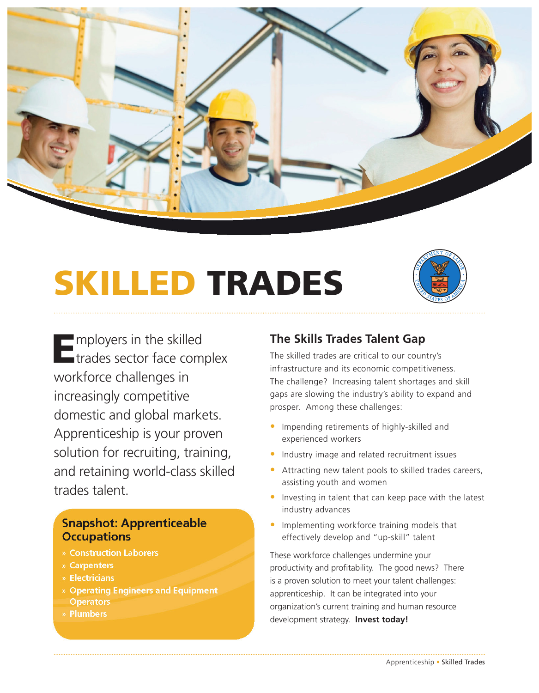

# SKILLED TRADES



Employers in the skilled<br>Etrades sector face complex workforce challenges in increasingly competitive domestic and global markets. Apprenticeship is your proven solution for recruiting, training, and retaining world-class skilled trades talent.

### **Snapshot: Apprenticeable Occupations**

- » Construction Laborers
- » Carpenters
- » Electricians
- » Operating Engineers and Equipment **Operators**
- » Plumbers

## **The Skills Trades Talent Gap**

The skilled trades are critical to our country's infrastructure and its economic competitiveness. The challenge? Increasing talent shortages and skill gaps are slowing the industry's ability to expand and prosper. Among these challenges:

- Impending retirements of highly-skilled and experienced workers
- Industry image and related recruitment issues
- Attracting new talent pools to skilled trades careers, assisting youth and women
- Investing in talent that can keep pace with the latest industry advances
- Implementing workforce training models that effectively develop and "up-skill" talent

These workforce challenges undermine your productivity and profitability. The good news? There is a proven solution to meet your talent challenges: apprenticeship. It can be integrated into your organization's current training and human resource development strategy. **Invest today!**